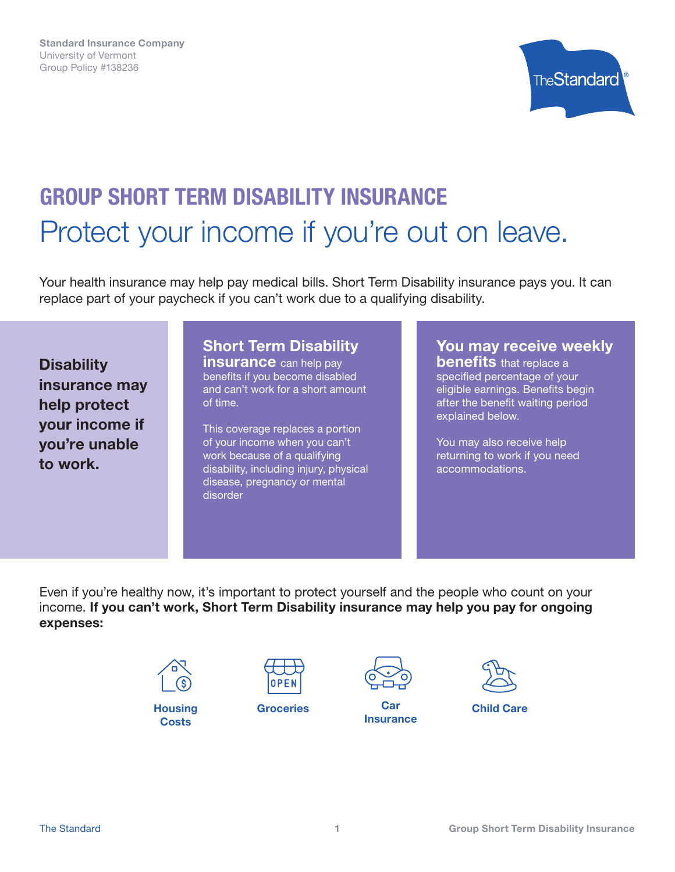

# GROUP SHORT TERM DISABILITY INSURANCE Protect your income if you're out on leave.

Your health insurance may help pay medical bills. Short Term Disability insurance pays you. It can replace part of your paycheck if you can't work due to a qualifying disability.

**Disability** insurance may help protect your income if you're unable to work.

### Short Term Disability

**insurance** can help pay benefits if you become disabled and can't work for a short amount of time.

This coverage replaces a portion of your income when you can't work because of a qualifying disability, including injury, physical disease, pregnancy or mental disorder

You may receive weekly

**benefits** that replace a specified percentage of your eligible earnings. Benefits begin after the benefit waiting period explained below.

You may also receive help returning to work if you need accommodations.

Even if you're healthy now, it's important to protect yourself and the people who count on your income. If you can't work, Short Term Disability insurance may help you pay for ongoing expenses:



**Housing Costs** 





Groceries Car Car Child Care **Insurance** 

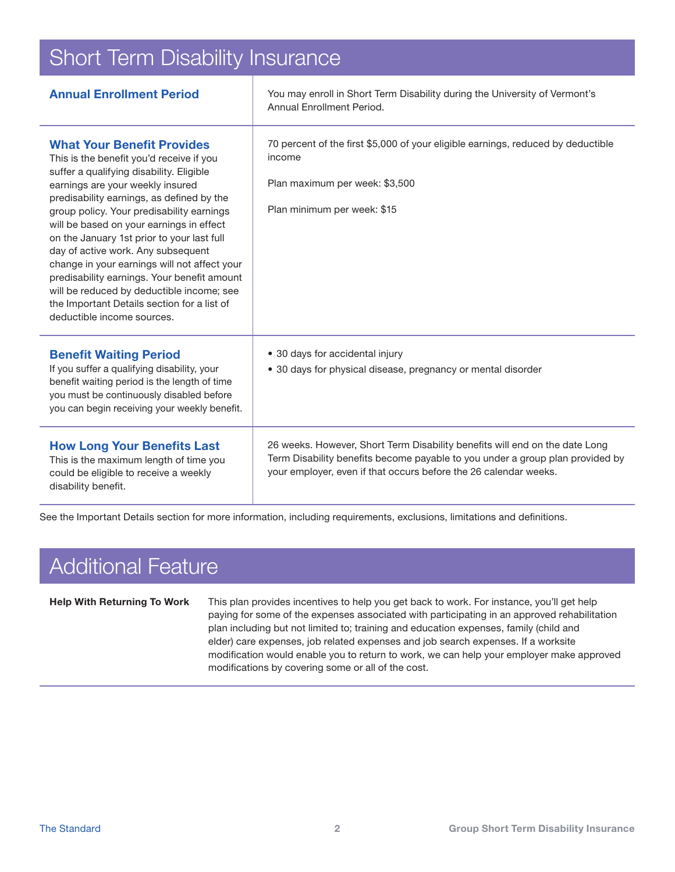### Short Term Disability Insurance

| <b>Annual Enrollment Period</b>                                                                                                                                                                                                                                                                                                                                                                                                                                                                                                                                                                                  | You may enroll in Short Term Disability during the University of Vermont's<br>Annual Enrollment Period.                                                                                                                          |
|------------------------------------------------------------------------------------------------------------------------------------------------------------------------------------------------------------------------------------------------------------------------------------------------------------------------------------------------------------------------------------------------------------------------------------------------------------------------------------------------------------------------------------------------------------------------------------------------------------------|----------------------------------------------------------------------------------------------------------------------------------------------------------------------------------------------------------------------------------|
| <b>What Your Benefit Provides</b><br>This is the benefit you'd receive if you<br>suffer a qualifying disability. Eligible<br>earnings are your weekly insured<br>predisability earnings, as defined by the<br>group policy. Your predisability earnings<br>will be based on your earnings in effect<br>on the January 1st prior to your last full<br>day of active work. Any subsequent<br>change in your earnings will not affect your<br>predisability earnings. Your benefit amount<br>will be reduced by deductible income; see<br>the Important Details section for a list of<br>deductible income sources. | 70 percent of the first \$5,000 of your eligible earnings, reduced by deductible<br>income<br>Plan maximum per week: \$3,500<br>Plan minimum per week: \$15                                                                      |
| <b>Benefit Waiting Period</b><br>If you suffer a qualifying disability, your<br>benefit waiting period is the length of time<br>you must be continuously disabled before<br>you can begin receiving your weekly benefit.                                                                                                                                                                                                                                                                                                                                                                                         | • 30 days for accidental injury<br>• 30 days for physical disease, pregnancy or mental disorder                                                                                                                                  |
| <b>How Long Your Benefits Last</b><br>This is the maximum length of time you<br>could be eligible to receive a weekly<br>disability benefit.                                                                                                                                                                                                                                                                                                                                                                                                                                                                     | 26 weeks. However, Short Term Disability benefits will end on the date Long<br>Term Disability benefits become payable to you under a group plan provided by<br>your employer, even if that occurs before the 26 calendar weeks. |

See the Important Details section for more information, including requirements, exclusions, limitations and definitions.

# Additional Feature

Help With Returning To Work This plan provides incentives to help you get back to work. For instance, you'll get help paying for some of the expenses associated with participating in an approved rehabilitation plan including but not limited to; training and education expenses, family (child and elder) care expenses, job related expenses and job search expenses. If a worksite modification would enable you to return to work, we can help your employer make approved modifications by covering some or all of the cost.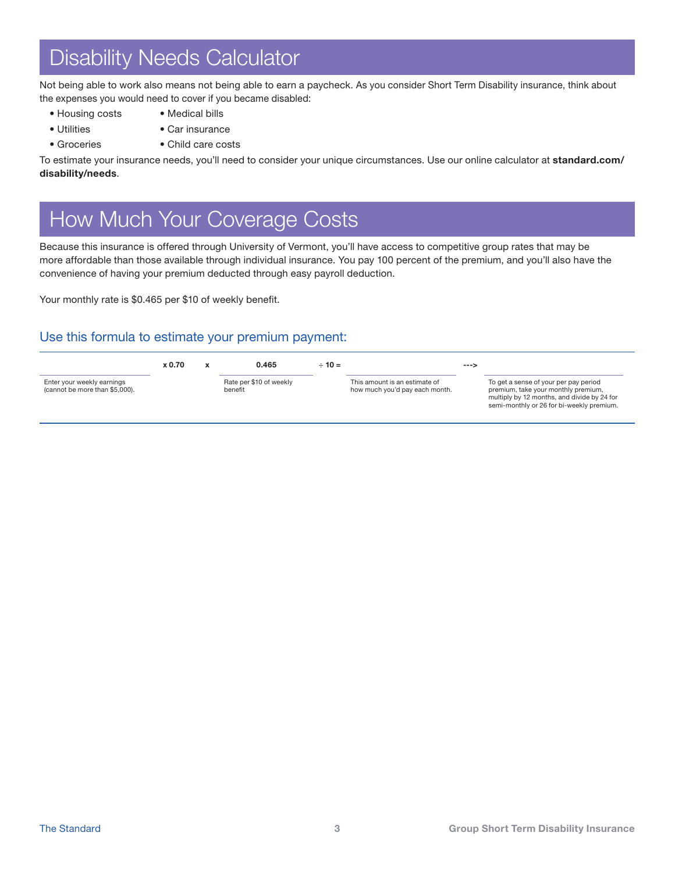## Disability Needs Calculator

Not being able to work also means not being able to earn a paycheck. As you consider Short Term Disability insurance, think about the expenses you would need to cover if you became disabled:

- 
- Housing costs Medical bills
- 
- Utilities Car insurance
- Groceries Child care costs

To estimate your insurance needs, you'll need to consider your unique circumstances. Use our online calculator at standard.com/ disability/needs.

# How Much Your Coverage Costs

Because this insurance is offered through University of Vermont, you'll have access to competitive group rates that may be more affordable than those available through individual insurance. You pay 100 percent of the premium, and you'll also have the convenience of having your premium deducted through easy payroll deduction.

Your monthly rate is \$0.465 per \$10 of weekly benefit.

### Use this formula to estimate your premium payment:

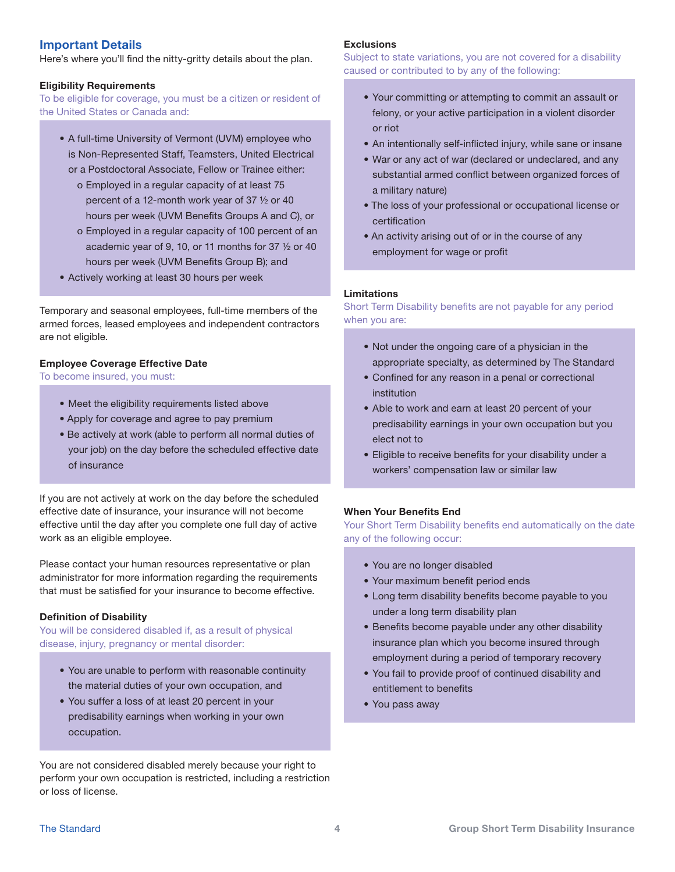### Important Details

Here's where you'll find the nitty-gritty details about the plan.

#### Eligibility Requirements

To be eligible for coverage, you must be a citizen or resident of the United States or Canada and:

- A full-time University of Vermont (UVM) employee who is Non-Represented Staff, Teamsters, United Electrical or a Postdoctoral Associate, Fellow or Trainee either:
	- o Employed in a regular capacity of at least 75 percent of a 12-month work year of 37 ½ or 40 hours per week (UVM Benefits Groups A and C), or
	- o Employed in a regular capacity of 100 percent of an academic year of 9, 10, or 11 months for 37 ½ or 40 hours per week (UVM Benefits Group B); and
- Actively working at least 30 hours per week

Temporary and seasonal employees, full-time members of the armed forces, leased employees and independent contractors are not eligible.

#### Employee Coverage Effective Date

To become insured, you must:

- Meet the eligibility requirements listed above
- Apply for coverage and agree to pay premium
- Be actively at work (able to perform all normal duties of your job) on the day before the scheduled effective date of insurance

If you are not actively at work on the day before the scheduled effective date of insurance, your insurance will not become effective until the day after you complete one full day of active work as an eligible employee.

Please contact your human resources representative or plan administrator for more information regarding the requirements that must be satisfied for your insurance to become effective.

#### Definition of Disability

You will be considered disabled if, as a result of physical disease, injury, pregnancy or mental disorder:

- You are unable to perform with reasonable continuity the material duties of your own occupation, and
- You suffer a loss of at least 20 percent in your predisability earnings when working in your own occupation.

You are not considered disabled merely because your right to perform your own occupation is restricted, including a restriction or loss of license.

#### **Exclusions**

Subject to state variations, you are not covered for a disability caused or contributed to by any of the following:

- Your committing or attempting to commit an assault or felony, or your active participation in a violent disorder or riot
- An intentionally self-inflicted injury, while sane or insane
- War or any act of war (declared or undeclared, and any substantial armed conflict between organized forces of a military nature)
- The loss of your professional or occupational license or certification
- An activity arising out of or in the course of any employment for wage or profit

#### Limitations

Short Term Disability benefits are not payable for any period when you are:

- Not under the ongoing care of a physician in the appropriate specialty, as determined by The Standard
- Confined for any reason in a penal or correctional institution
- Able to work and earn at least 20 percent of your predisability earnings in your own occupation but you elect not to
- Eligible to receive benefits for your disability under a workers' compensation law or similar law

#### When Your Benefits End

Your Short Term Disability benefits end automatically on the date any of the following occur:

- You are no longer disabled
- Your maximum benefit period ends
- Long term disability benefits become payable to you under a long term disability plan
- Benefits become payable under any other disability insurance plan which you become insured through employment during a period of temporary recovery
- You fail to provide proof of continued disability and entitlement to benefits
- You pass away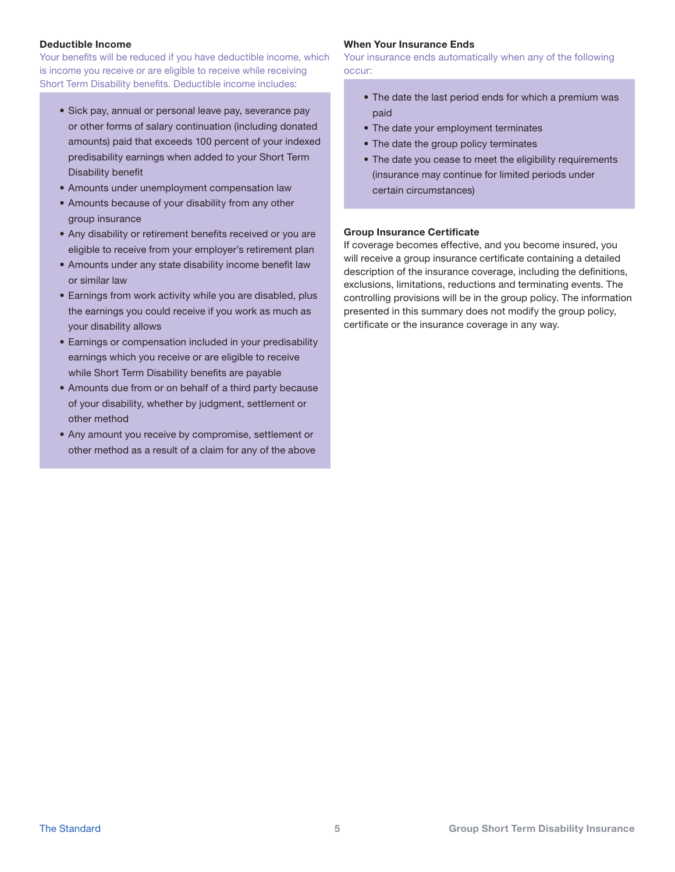#### Deductible Income

Your benefits will be reduced if you have deductible income, which is income you receive or are eligible to receive while receiving Short Term Disability benefits. Deductible income includes:

- Sick pay, annual or personal leave pay, severance pay or other forms of salary continuation (including donated amounts) paid that exceeds 100 percent of your indexed predisability earnings when added to your Short Term Disability benefit
- Amounts under unemployment compensation law
- Amounts because of your disability from any other group insurance
- Any disability or retirement benefits received or you are eligible to receive from your employer's retirement plan
- Amounts under any state disability income benefit law or similar law
- Earnings from work activity while you are disabled, plus the earnings you could receive if you work as much as your disability allows
- Earnings or compensation included in your predisability earnings which you receive or are eligible to receive while Short Term Disability benefits are payable
- Amounts due from or on behalf of a third party because of your disability, whether by judgment, settlement or other method
- Any amount you receive by compromise, settlement or other method as a result of a claim for any of the above

#### When Your Insurance Ends

Your insurance ends automatically when any of the following occur:

- The date the last period ends for which a premium was paid
- The date your employment terminates
- The date the group policy terminates
- The date you cease to meet the eligibility requirements (insurance may continue for limited periods under certain circumstances)

#### Group Insurance Certificate

If coverage becomes effective, and you become insured, you will receive a group insurance certificate containing a detailed description of the insurance coverage, including the definitions, exclusions, limitations, reductions and terminating events. The controlling provisions will be in the group policy. The information presented in this summary does not modify the group policy, certificate or the insurance coverage in any way.